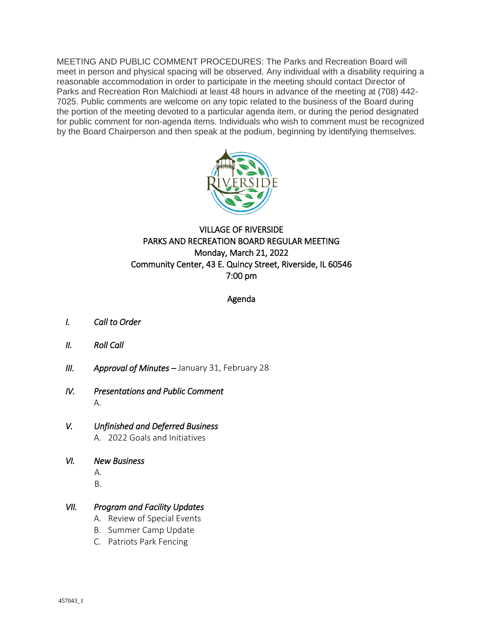MEETING AND PUBLIC COMMENT PROCEDURES: The Parks and Recreation Board will meet in person and physical spacing will be observed. Any individual with a disability requiring a reasonable accommodation in order to participate in the meeting should contact Director of Parks and Recreation Ron Malchiodi at least 48 hours in advance of the meeting at (708) 442- 7025. Public comments are welcome on any topic related to the business of the Board during the portion of the meeting devoted to a particular agenda item, or during the period designated for public comment for non-agenda items. Individuals who wish to comment must be recognized by the Board Chairperson and then speak at the podium, beginning by identifying themselves.



### VILLAGE OF RIVERSIDE PARKS AND RECREATION BOARD REGULAR MEETING Monday, March 21, 2022 Community Center, 43 E. Quincy Street, Riverside, IL 60546 7:00 pm

#### Agenda

- *I. Call to Order*
- *II. Roll Call*
- *III. Approval of Minutes January 31, February 28*
- *IV. Presentations and Public Comment*  A.
- *V. Unfinished and Deferred Business*  A. 2022 Goals and Initiatives
- *VI. New Business*  A.
	- B.

#### *VII. Program and Facility Updates*

- A. Review of Special Events
- B. Summer Camp Update
- C. Patriots Park Fencing